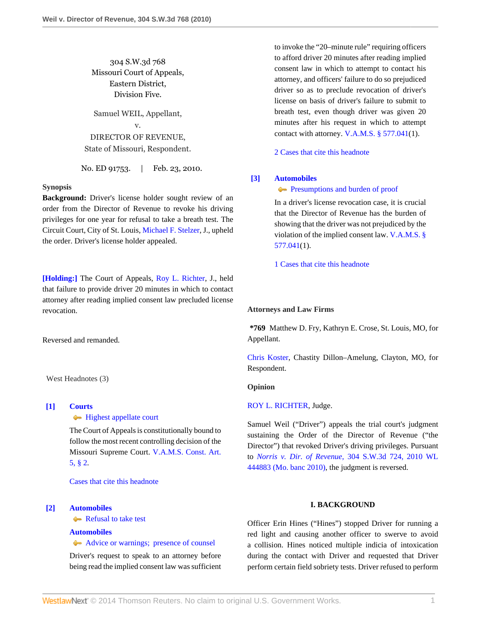304 S.W.3d 768 Missouri Court of Appeals, Eastern District, Division Five.

Samuel WEIL, Appellant, v. DIRECTOR OF REVENUE, State of Missouri, Respondent.

No. ED 91753. | Feb. 23, 2010.

#### **Synopsis**

**Background:** Driver's license holder sought review of an order from the Director of Revenue to revoke his driving privileges for one year for refusal to take a breath test. The Circuit Court, City of St. Louis, [Michael F. Stelzer](http://www.westlaw.com/Link/Document/FullText?findType=h&pubNum=176284&cite=0133747301&originatingDoc=I68d60876212811df8bf6cd8525c41437&refType=RQ&originationContext=document&vr=3.0&rs=cblt1.0&transitionType=DocumentItem&contextData=(sc.Search)), J., upheld the order. Driver's license holder appealed.

**[\[Holding:\]](#page-0-0)** The Court of Appeals, [Roy L. Richter,](http://www.westlaw.com/Link/Document/FullText?findType=h&pubNum=176284&cite=0142904001&originatingDoc=I68d60876212811df8bf6cd8525c41437&refType=RQ&originationContext=document&vr=3.0&rs=cblt1.0&transitionType=DocumentItem&contextData=(sc.Search)) J., held that failure to provide driver 20 minutes in which to contact attorney after reading implied consent law precluded license revocation.

Reversed and remanded.

West Headnotes (3)

# <span id="page-0-1"></span>**[\[1\]](#page-1-0) [Courts](http://www.westlaw.com/Browse/Home/KeyNumber/106/View.html?docGuid=I68d60876212811df8bf6cd8525c41437&originationContext=document&vr=3.0&rs=cblt1.0&transitionType=DocumentItem&contextData=(sc.Search))**

### **[Highest appellate court](http://www.westlaw.com/Browse/Home/KeyNumber/106k91(1)/View.html?docGuid=I68d60876212811df8bf6cd8525c41437&originationContext=document&vr=3.0&rs=cblt1.0&transitionType=DocumentItem&contextData=(sc.Search))**

The Court of Appeals is constitutionally bound to follow the most recent controlling decision of the Missouri Supreme Court. [V.A.M.S. Const. Art.](http://www.westlaw.com/Link/Document/FullText?findType=L&pubNum=1000229&cite=MOCNART5S2&originatingDoc=I68d60876212811df8bf6cd8525c41437&refType=LQ&originationContext=document&vr=3.0&rs=cblt1.0&transitionType=DocumentItem&contextData=(sc.Search)) [5, § 2](http://www.westlaw.com/Link/Document/FullText?findType=L&pubNum=1000229&cite=MOCNART5S2&originatingDoc=I68d60876212811df8bf6cd8525c41437&refType=LQ&originationContext=document&vr=3.0&rs=cblt1.0&transitionType=DocumentItem&contextData=(sc.Search)).

[Cases that cite this headnote](http://www.westlaw.com/Link/RelatedInformation/DocHeadnoteLink?docGuid=I68d60876212811df8bf6cd8525c41437&headnoteId=202141464100120100530080529&originationContext=document&vr=3.0&rs=cblt1.0&transitionType=CitingReferences&contextData=(sc.Search))

#### <span id="page-0-0"></span>**[\[2\]](#page-1-1) [Automobiles](http://www.westlaw.com/Browse/Home/KeyNumber/48A/View.html?docGuid=I68d60876212811df8bf6cd8525c41437&originationContext=document&vr=3.0&rs=cblt1.0&transitionType=DocumentItem&contextData=(sc.Search))**

[Refusal to take test](http://www.westlaw.com/Browse/Home/KeyNumber/48Ak144.1(1.20)/View.html?docGuid=I68d60876212811df8bf6cd8525c41437&originationContext=document&vr=3.0&rs=cblt1.0&transitionType=DocumentItem&contextData=(sc.Search))

#### **[Automobiles](http://www.westlaw.com/Browse/Home/KeyNumber/48A/View.html?docGuid=I68d60876212811df8bf6cd8525c41437&originationContext=document&vr=3.0&rs=cblt1.0&transitionType=DocumentItem&contextData=(sc.Search))**

[Advice or warnings; presence of counsel](http://www.westlaw.com/Browse/Home/KeyNumber/48Ak421/View.html?docGuid=I68d60876212811df8bf6cd8525c41437&originationContext=document&vr=3.0&rs=cblt1.0&transitionType=DocumentItem&contextData=(sc.Search))

Driver's request to speak to an attorney before being read the implied consent law was sufficient to invoke the "20–minute rule" requiring officers to afford driver 20 minutes after reading implied consent law in which to attempt to contact his attorney, and officers' failure to do so prejudiced driver so as to preclude revocation of driver's license on basis of driver's failure to submit to breath test, even though driver was given 20 minutes after his request in which to attempt contact with attorney. [V.A.M.S. § 577.041](http://www.westlaw.com/Link/Document/FullText?findType=L&pubNum=1000229&cite=MOST577.041&originatingDoc=I68d60876212811df8bf6cd8525c41437&refType=LQ&originationContext=document&vr=3.0&rs=cblt1.0&transitionType=DocumentItem&contextData=(sc.Search))(1).

[2 Cases that cite this headnote](http://www.westlaw.com/Link/RelatedInformation/DocHeadnoteLink?docGuid=I68d60876212811df8bf6cd8525c41437&headnoteId=202141464100220100530080529&originationContext=document&vr=3.0&rs=cblt1.0&transitionType=CitingReferences&contextData=(sc.Search))

#### <span id="page-0-2"></span>**[\[3\]](#page-1-2) [Automobiles](http://www.westlaw.com/Browse/Home/KeyNumber/48A/View.html?docGuid=I68d60876212811df8bf6cd8525c41437&originationContext=document&vr=3.0&rs=cblt1.0&transitionType=DocumentItem&contextData=(sc.Search))**

**[Presumptions and burden of proof](http://www.westlaw.com/Browse/Home/KeyNumber/48Ak144.2(9.6)/View.html?docGuid=I68d60876212811df8bf6cd8525c41437&originationContext=document&vr=3.0&rs=cblt1.0&transitionType=DocumentItem&contextData=(sc.Search))** 

In a driver's license revocation case, it is crucial that the Director of Revenue has the burden of showing that the driver was not prejudiced by the violation of the implied consent law. [V.A.M.S. §](http://www.westlaw.com/Link/Document/FullText?findType=L&pubNum=1000229&cite=MOST577.041&originatingDoc=I68d60876212811df8bf6cd8525c41437&refType=LQ&originationContext=document&vr=3.0&rs=cblt1.0&transitionType=DocumentItem&contextData=(sc.Search)) [577.041](http://www.westlaw.com/Link/Document/FullText?findType=L&pubNum=1000229&cite=MOST577.041&originatingDoc=I68d60876212811df8bf6cd8525c41437&refType=LQ&originationContext=document&vr=3.0&rs=cblt1.0&transitionType=DocumentItem&contextData=(sc.Search))(1).

[1 Cases that cite this headnote](http://www.westlaw.com/Link/RelatedInformation/DocHeadnoteLink?docGuid=I68d60876212811df8bf6cd8525c41437&headnoteId=202141464100320100530080529&originationContext=document&vr=3.0&rs=cblt1.0&transitionType=CitingReferences&contextData=(sc.Search))

#### **Attorneys and Law Firms**

**\*769** Matthew D. Fry, Kathryn E. Crose, St. Louis, MO, for Appellant.

[Chris Koster](http://www.westlaw.com/Link/Document/FullText?findType=h&pubNum=176284&cite=0369913201&originatingDoc=I68d60876212811df8bf6cd8525c41437&refType=RQ&originationContext=document&vr=3.0&rs=cblt1.0&transitionType=DocumentItem&contextData=(sc.Search)), Chastity Dillon–Amelung, Clayton, MO, for Respondent.

#### **Opinion**

#### [ROY L. RICHTER](http://www.westlaw.com/Link/Document/FullText?findType=h&pubNum=176284&cite=0142904001&originatingDoc=I68d60876212811df8bf6cd8525c41437&refType=RQ&originationContext=document&vr=3.0&rs=cblt1.0&transitionType=DocumentItem&contextData=(sc.Search)), Judge.

Samuel Weil ("Driver") appeals the trial court's judgment sustaining the Order of the Director of Revenue ("the Director") that revoked Driver's driving privileges. Pursuant to *Norris v. Dir. of Revenue,* [304 S.W.3d 724, 2010 WL](http://www.westlaw.com/Link/Document/FullText?findType=Y&serNum=2021323368&pubNum=0000999&originationContext=document&vr=3.0&rs=cblt1.0&transitionType=DocumentItem&contextData=(sc.Search)) [444883 \(Mo. banc 2010\)](http://www.westlaw.com/Link/Document/FullText?findType=Y&serNum=2021323368&pubNum=0000999&originationContext=document&vr=3.0&rs=cblt1.0&transitionType=DocumentItem&contextData=(sc.Search)), the judgment is reversed.

### **I. BACKGROUND**

Officer Erin Hines ("Hines") stopped Driver for running a red light and causing another officer to swerve to avoid a collision. Hines noticed multiple indicia of intoxication during the contact with Driver and requested that Driver perform certain field sobriety tests. Driver refused to perform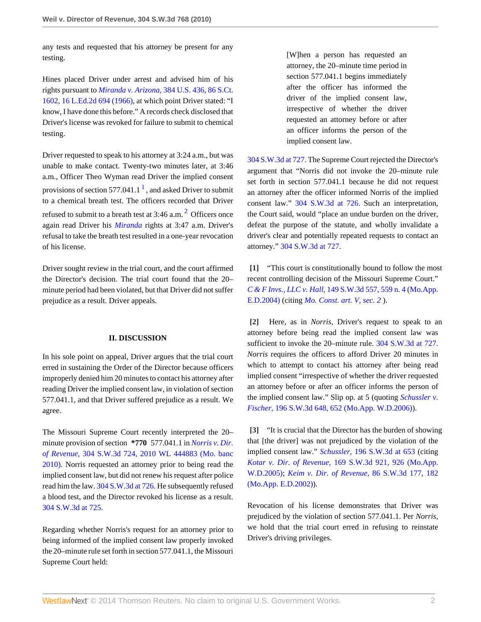any tests and requested that his attorney be present for any testing.

Hines placed Driver under arrest and advised him of his rights pursuant to *Miranda v. Arizona,* [384 U.S. 436, 86 S.Ct.](http://www.westlaw.com/Link/Document/FullText?findType=Y&serNum=1966131580&pubNum=708&originationContext=document&vr=3.0&rs=cblt1.0&transitionType=DocumentItem&contextData=(sc.Search)) [1602, 16 L.Ed.2d 694 \(1966\)](http://www.westlaw.com/Link/Document/FullText?findType=Y&serNum=1966131580&pubNum=708&originationContext=document&vr=3.0&rs=cblt1.0&transitionType=DocumentItem&contextData=(sc.Search)), at which point Driver stated: "I know, I have done this before." A records check disclosed that Driver's license was revoked for failure to submit to chemical testing.

<span id="page-1-3"></span>Driver requested to speak to his attorney at 3:24 a.m., but was unable to make contact. Twenty-two minutes later, at 3:46 a.m., Officer Theo Wyman read Driver the implied consent provisions of section 577.04[1](#page-2-0).1  $<sup>1</sup>$ , and asked Driver to submit</sup> to a chemical breath test. The officers recorded that Driver refused to submit to a breath test at 3:46 a.m.  $^2$  $^2$  Officers once again read Driver his *[Miranda](http://www.westlaw.com/Link/Document/FullText?findType=Y&serNum=1966131580&originationContext=document&vr=3.0&rs=cblt1.0&transitionType=DocumentItem&contextData=(sc.Search))* rights at 3:47 a.m. Driver's refusal to take the breath test resulted in a one-year revocation of his license.

Driver sought review in the trial court, and the court affirmed the Director's decision. The trial court found that the 20– minute period had been violated, but that Driver did not suffer prejudice as a result. Driver appeals.

### **II. DISCUSSION**

In his sole point on appeal, Driver argues that the trial court erred in sustaining the Order of the Director because officers improperly denied him 20 minutes to contact his attorney after reading Driver the implied consent law, in violation of section 577.041.1, and that Driver suffered prejudice as a result. We agree.

The Missouri Supreme Court recently interpreted the 20– minute provision of section **\*770** 577.041.1 in *[Norris v. Dir.](http://www.westlaw.com/Link/Document/FullText?findType=Y&serNum=2021323368&pubNum=0000999&originationContext=document&vr=3.0&rs=cblt1.0&transitionType=DocumentItem&contextData=(sc.Search)) of Revenue,* [304 S.W.3d 724, 2010 WL 444883 \(Mo. banc](http://www.westlaw.com/Link/Document/FullText?findType=Y&serNum=2021323368&pubNum=0000999&originationContext=document&vr=3.0&rs=cblt1.0&transitionType=DocumentItem&contextData=(sc.Search)) [2010\)](http://www.westlaw.com/Link/Document/FullText?findType=Y&serNum=2021323368&pubNum=0000999&originationContext=document&vr=3.0&rs=cblt1.0&transitionType=DocumentItem&contextData=(sc.Search)). Norris requested an attorney prior to being read the implied consent law, but did not renew his request after police read him the law. [304 S.W.3d at 726.](http://www.westlaw.com/Link/Document/FullText?findType=Y&serNum=2021323368&pubNum=4644&fi=co_pp_sp_4644_726&originationContext=document&vr=3.0&rs=cblt1.0&transitionType=DocumentItem&contextData=(sc.Search)#co_pp_sp_4644_726) He subsequently refused a blood test, and the Director revoked his license as a result. [304 S.W.3d at 725.](http://www.westlaw.com/Link/Document/FullText?findType=Y&serNum=2021323368&pubNum=4644&fi=co_pp_sp_4644_725&originationContext=document&vr=3.0&rs=cblt1.0&transitionType=DocumentItem&contextData=(sc.Search)#co_pp_sp_4644_725)

Regarding whether Norris's request for an attorney prior to being informed of the implied consent law properly invoked the 20–minute rule set forth in section 577.041.1, the Missouri Supreme Court held:

[W]hen a person has requested an attorney, the 20–minute time period in section 577.041.1 begins immediately after the officer has informed the driver of the implied consent law, irrespective of whether the driver requested an attorney before or after an officer informs the person of the implied consent law.

<span id="page-1-4"></span>[304 S.W.3d at 727.](http://www.westlaw.com/Link/Document/FullText?findType=Y&serNum=2021323368&pubNum=4644&fi=co_pp_sp_4644_727&originationContext=document&vr=3.0&rs=cblt1.0&transitionType=DocumentItem&contextData=(sc.Search)#co_pp_sp_4644_727) The Supreme Court rejected the Director's argument that "Norris did not invoke the 20–minute rule set forth in section 577.041.1 because he did not request an attorney after the officer informed Norris of the implied consent law." [304 S.W.3d at 726.](http://www.westlaw.com/Link/Document/FullText?findType=Y&serNum=2021323368&pubNum=4644&fi=co_pp_sp_4644_726&originationContext=document&vr=3.0&rs=cblt1.0&transitionType=DocumentItem&contextData=(sc.Search)#co_pp_sp_4644_726) Such an interpretation, the Court said, would "place an undue burden on the driver, defeat the purpose of the statute, and wholly invalidate a driver's clear and potentially repeated requests to contact an attorney." [304 S.W.3d at 727.](http://www.westlaw.com/Link/Document/FullText?findType=Y&serNum=2021323368&pubNum=4644&fi=co_pp_sp_4644_727&originationContext=document&vr=3.0&rs=cblt1.0&transitionType=DocumentItem&contextData=(sc.Search)#co_pp_sp_4644_727)

<span id="page-1-0"></span>**[\[1\]](#page-0-1)** "This court is constitutionally bound to follow the most recent controlling decision of the Missouri Supreme Court." *C & F Invs., LLC v. Hall,* [149 S.W.3d 557, 559 n. 4 \(Mo.App.](http://www.westlaw.com/Link/Document/FullText?findType=Y&serNum=2005466012&pubNum=4644&fi=co_pp_sp_4644_559&originationContext=document&vr=3.0&rs=cblt1.0&transitionType=DocumentItem&contextData=(sc.Search)#co_pp_sp_4644_559) [E.D.2004\)](http://www.westlaw.com/Link/Document/FullText?findType=Y&serNum=2005466012&pubNum=4644&fi=co_pp_sp_4644_559&originationContext=document&vr=3.0&rs=cblt1.0&transitionType=DocumentItem&contextData=(sc.Search)#co_pp_sp_4644_559) (citing *[Mo. Const. art. V, sec. 2](http://www.westlaw.com/Link/Document/FullText?findType=L&pubNum=1000229&cite=MOCNART5S2&originatingDoc=I68d60876212811df8bf6cd8525c41437&refType=LQ&originationContext=document&vr=3.0&rs=cblt1.0&transitionType=DocumentItem&contextData=(sc.Search))* ).

<span id="page-1-1"></span>**[\[2\]](#page-0-0)** Here, as in *Norris,* Driver's request to speak to an attorney before being read the implied consent law was sufficient to invoke the 20–minute rule. [304 S.W.3d at 727.](http://www.westlaw.com/Link/Document/FullText?findType=Y&serNum=2021323368&pubNum=4644&fi=co_pp_sp_4644_727&originationContext=document&vr=3.0&rs=cblt1.0&transitionType=DocumentItem&contextData=(sc.Search)#co_pp_sp_4644_727) *Norris* requires the officers to afford Driver 20 minutes in which to attempt to contact his attorney after being read implied consent "irrespective of whether the driver requested an attorney before or after an officer informs the person of the implied consent law." Slip op. at 5 (quoting *[Schussler v.](http://www.westlaw.com/Link/Document/FullText?findType=Y&serNum=2009438685&pubNum=4644&fi=co_pp_sp_4644_652&originationContext=document&vr=3.0&rs=cblt1.0&transitionType=DocumentItem&contextData=(sc.Search)#co_pp_sp_4644_652) Fischer,* [196 S.W.3d 648, 652 \(Mo.App. W.D.2006\)\)](http://www.westlaw.com/Link/Document/FullText?findType=Y&serNum=2009438685&pubNum=4644&fi=co_pp_sp_4644_652&originationContext=document&vr=3.0&rs=cblt1.0&transitionType=DocumentItem&contextData=(sc.Search)#co_pp_sp_4644_652).

<span id="page-1-2"></span>**[\[3\]](#page-0-2)** "It is crucial that the Director has the burden of showing that [the driver] was not prejudiced by the violation of the implied consent law." *Schussler,* [196 S.W.3d at 653](http://www.westlaw.com/Link/Document/FullText?findType=Y&serNum=2009438685&pubNum=4644&fi=co_pp_sp_4644_653&originationContext=document&vr=3.0&rs=cblt1.0&transitionType=DocumentItem&contextData=(sc.Search)#co_pp_sp_4644_653) (citing *Kotar v. Dir. of Revenue,* [169 S.W.3d 921, 926 \(Mo.App.](http://www.westlaw.com/Link/Document/FullText?findType=Y&serNum=2007239936&pubNum=4644&fi=co_pp_sp_4644_926&originationContext=document&vr=3.0&rs=cblt1.0&transitionType=DocumentItem&contextData=(sc.Search)#co_pp_sp_4644_926) [W.D.2005\);](http://www.westlaw.com/Link/Document/FullText?findType=Y&serNum=2007239936&pubNum=4644&fi=co_pp_sp_4644_926&originationContext=document&vr=3.0&rs=cblt1.0&transitionType=DocumentItem&contextData=(sc.Search)#co_pp_sp_4644_926) *[Keim v. Dir. of Revenue,](http://www.westlaw.com/Link/Document/FullText?findType=Y&serNum=2002627589&pubNum=4644&fi=co_pp_sp_4644_182&originationContext=document&vr=3.0&rs=cblt1.0&transitionType=DocumentItem&contextData=(sc.Search)#co_pp_sp_4644_182)* 86 S.W.3d 177, 182 [\(Mo.App. E.D.2002\)\)](http://www.westlaw.com/Link/Document/FullText?findType=Y&serNum=2002627589&pubNum=4644&fi=co_pp_sp_4644_182&originationContext=document&vr=3.0&rs=cblt1.0&transitionType=DocumentItem&contextData=(sc.Search)#co_pp_sp_4644_182).

Revocation of his license demonstrates that Driver was prejudiced by the violation of section 577.041.1. Per *Norris,* we hold that the trial court erred in refusing to reinstate Driver's driving privileges.